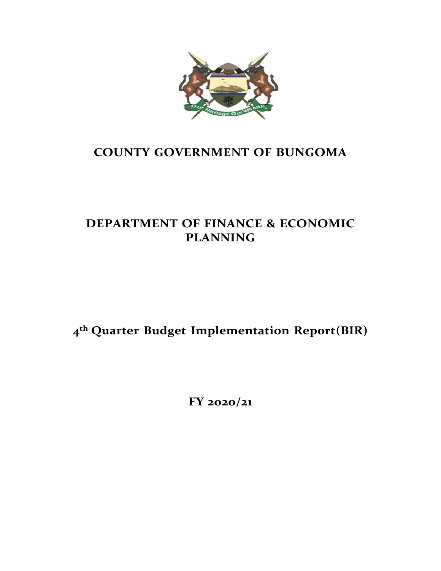

## **COUNTY GOVERNMENT OF BUNGOMA**

## **DEPARTMENT OF FINANCE & ECONOMIC PLANNING**

**4 th Quarter Budget Implementation Report(BIR)**

**FY 2020/21**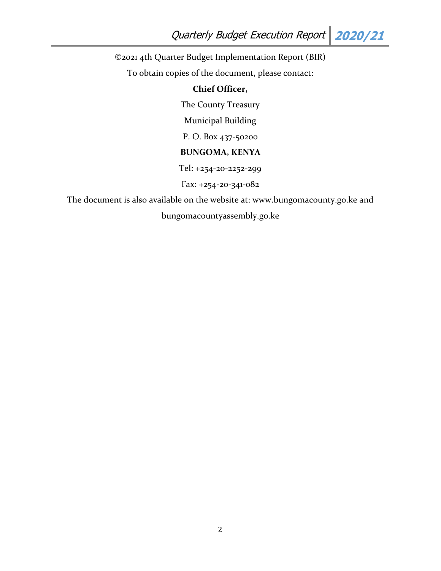©2021 4th Quarter Budget Implementation Report (BIR)

To obtain copies of the document, please contact:

## **Chief Officer,**

The County Treasury

Municipal Building

P. O. Box 437-50200

## **BUNGOMA, KENYA**

Tel: +254-20-2252-299

Fax: +254-20-341-082

The document is also available on the website at: www.bungomacounty.go.ke and bungomacountyassembly.go.ke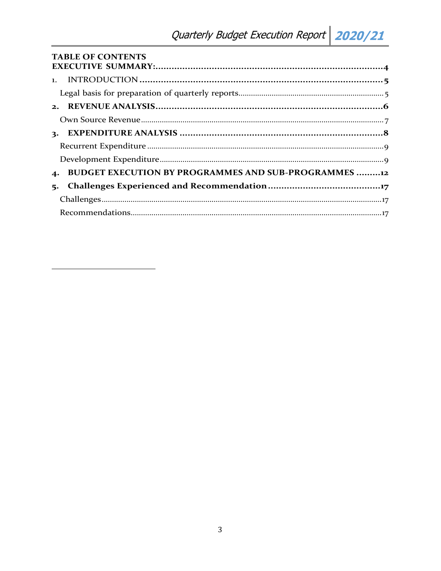| <b>TABLE OF CONTENTS</b>                                    |  |
|-------------------------------------------------------------|--|
|                                                             |  |
|                                                             |  |
|                                                             |  |
|                                                             |  |
|                                                             |  |
|                                                             |  |
|                                                             |  |
|                                                             |  |
| <b>BUDGET EXECUTION BY PROGRAMMES AND SUB-PROGRAMMES 12</b> |  |
| 5.                                                          |  |
|                                                             |  |
|                                                             |  |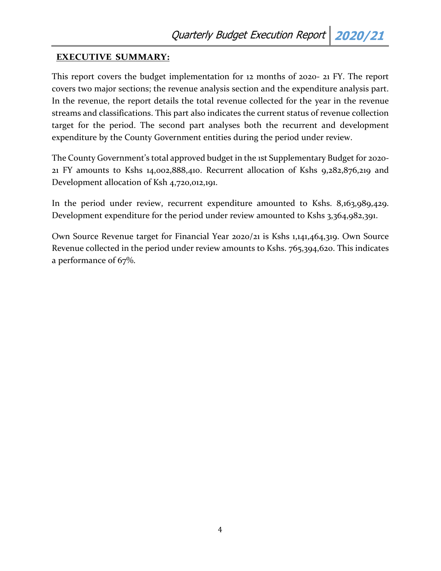### <span id="page-3-0"></span>**EXECUTIVE SUMMARY:**

This report covers the budget implementation for 12 months of 2020- 21 FY. The report covers two major sections; the revenue analysis section and the expenditure analysis part. In the revenue, the report details the total revenue collected for the year in the revenue streams and classifications. This part also indicates the current status of revenue collection target for the period. The second part analyses both the recurrent and development expenditure by the County Government entities during the period under review.

The County Government's total approved budget in the 1st Supplementary Budget for 2020- 21 FY amounts to Kshs 14,002,888,410. Recurrent allocation of Kshs 9,282,876,219 and Development allocation of Ksh 4,720,012,191.

In the period under review, recurrent expenditure amounted to Kshs. 8,163,989,429. Development expenditure for the period under review amounted to Kshs 3,364,982,391.

Own Source Revenue target for Financial Year 2020/21 is Kshs 1,141,464,319. Own Source Revenue collected in the period under review amounts to Kshs. 765,394,620. This indicates a performance of 67%.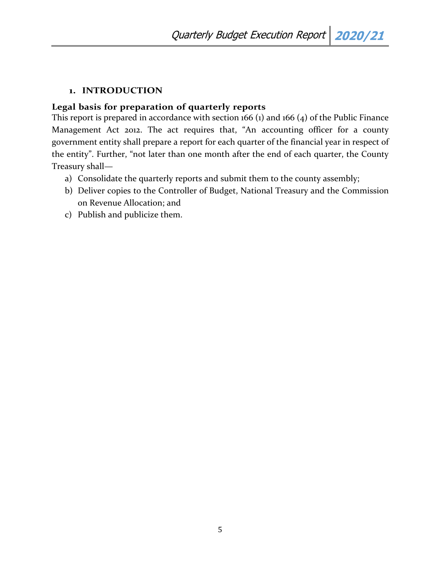### <span id="page-4-0"></span>**1. INTRODUCTION**

### <span id="page-4-1"></span>**Legal basis for preparation of quarterly reports**

This report is prepared in accordance with section 166 (1) and 166 (4) of the Public Finance Management Act 2012. The act requires that, "An accounting officer for a county government entity shall prepare a report for each quarter of the financial year in respect of the entity". Further, "not later than one month after the end of each quarter, the County Treasury shall—

- a) Consolidate the quarterly reports and submit them to the county assembly;
- b) Deliver copies to the Controller of Budget, National Treasury and the Commission on Revenue Allocation; and
- c) Publish and publicize them.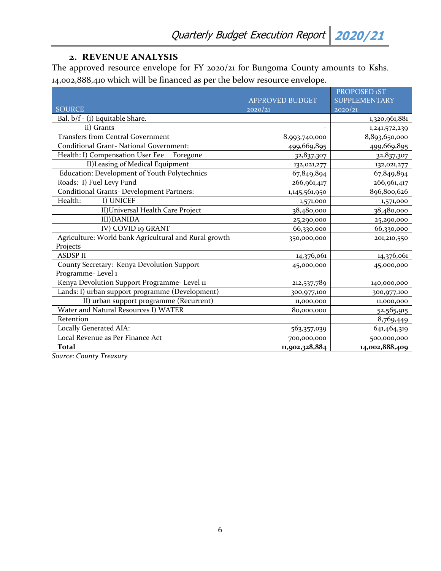## **2. REVENUE ANALYSIS**

<span id="page-5-0"></span>The approved resource envelope for FY 2020/21 for Bungoma County amounts to Kshs. 14,002,888,410 which will be financed as per the below resource envelope.

|                                                       |                        | PROPOSED 1ST         |
|-------------------------------------------------------|------------------------|----------------------|
|                                                       | <b>APPROVED BUDGET</b> | <b>SUPPLEMENTARY</b> |
| <b>SOURCE</b>                                         | 2020/21                | 2020/21              |
| Bal. b/f - (i) Equitable Share.                       |                        | 1,320,961,881        |
| ii) Grants                                            |                        | 1,241,572,239        |
| <b>Transfers from Central Government</b>              | 8,993,740,000          | 8,893,650,000        |
| <b>Conditional Grant- National Government:</b>        | 499,669,895            | 499,669,895          |
| Health: I) Compensation User Fee<br>Foregone          | 32,837,307             | 32,837,307           |
| II) Leasing of Medical Equipment                      | 132,021,277            | 132,021,277          |
| Education: Development of Youth Polytechnics          | 67,849,894             | 67,849,894           |
| Roads: I) Fuel Levy Fund                              | 266,961,417            | 266,961,417          |
| <b>Conditional Grants- Development Partners:</b>      | 1,145,561,950          | 896,800,626          |
| Health:<br>I) UNICEF                                  | 1,571,000              | 1,571,000            |
| II) Universal Health Care Project                     | 38,480,000             | 38,480,000           |
| <b>III)DANIDA</b>                                     | 25,290,000             | 25,290,000           |
| IV) COVID 19 GRANT                                    | 66,330,000             | 66,330,000           |
| Agriculture: World bank Agricultural and Rural growth | 350,000,000            | 201, 210, 550        |
| Projects                                              |                        |                      |
| <b>ASDSPII</b>                                        | 14,376,061             | 14,376,061           |
| County Secretary: Kenya Devolution Support            | 45,000,000             | 45,000,000           |
| Programme-Level 1                                     |                        |                      |
| Kenya Devolution Support Programme- Level 11          | 212,537,789            | 140,000,000          |
| Lands: I) urban support programme (Development)       | 300,977,100            | 300,977,100          |
| II) urban support programme (Recurrent)               | 11,000,000             | 11,000,000           |
| Water and Natural Resources I) WATER                  | 80,000,000             | 52,565,915           |
| Retention                                             |                        | 8,769,449            |
| Locally Generated AIA:                                | 563,357,039            | 641,464,319          |
| Local Revenue as Per Finance Act                      | 700,000,000            | 500,000,000          |
| Total                                                 | 11,902,328,884         | 14,002,888,409       |

*Source: County Treasury*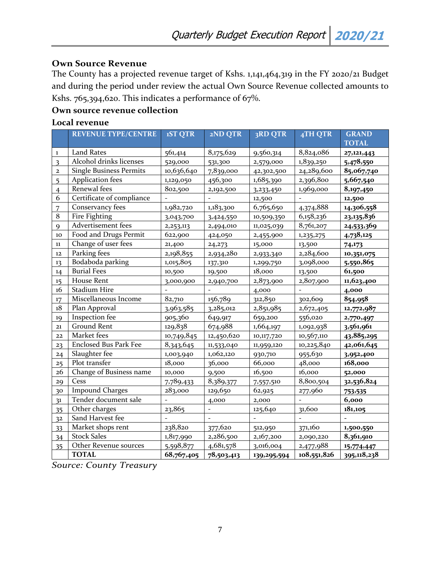#### <span id="page-6-0"></span>**Own Source Revenue**

The County has a projected revenue target of Kshs. 1,141,464,319 in the FY 2020/21 Budget and during the period under review the actual Own Source Revenue collected amounts to Kshs. 765,394,620. This indicates a performance of 67%.

#### **Own source revenue collection**

#### **Local revenue**

|                         | <b>REVENUE TYPE/CENTRE</b>     | <b>1ST QTR</b> | 2ND QTR                  | 3RD QTR     | 4TH QTR     | <b>GRAND</b> |
|-------------------------|--------------------------------|----------------|--------------------------|-------------|-------------|--------------|
|                         |                                |                |                          |             |             | <b>TOTAL</b> |
| 1                       | <b>Land Rates</b>              | 561,414        | 8,175,629                | 9,560,314   | 8,824,086   | 27,121,443   |
| $\overline{\mathbf{3}}$ | Alcohol drinks licenses        | 529,000        | 531,300                  | 2,579,000   | 1,839,250   | 5,478,550    |
| $\mathbf{2}$            | <b>Single Business Permits</b> | 10,636,640     | 7,839,000                | 42,302,500  | 24,289,600  | 85,067,740   |
| 5                       | <b>Application fees</b>        | 1,129,050      | 456,300                  | 1,685,390   | 2,396,800   | 5,667,540    |
| $\overline{4}$          | Renewal fees                   | 802,500        | 2,192,500                | 3,233,450   | 1,969,000   | 8,197,450    |
| 6                       | Certificate of compliance      |                |                          | 12,500      |             | 12,500       |
| 7                       | Conservancy fees               | 1,982,720      | 1,183,300                | 6,765,650   | 4,374,888   | 14,306,558   |
| 8                       | <b>Fire Fighting</b>           | 3,043,700      | 3,424,550                | 10,509,350  | 6,158,236   | 23,135,836   |
| $\mathbf Q$             | Advertisement fees             | 2,253,113      | 2,494,010                | 11,025,039  | 8,761,207   | 24,533,369   |
| 10                      | Food and Drugs Permit          | 622,900        | 424,050                  | 2,455,900   | 1,235,275   | 4,738,125    |
| $11\,$                  | Change of user fees            | 21,400         | 24, 273                  | 15,000      | 13,500      | 74,173       |
| 12                      | Parking fees                   | 2,198,855      | 2,934,280                | 2,933,340   | 2,284,600   | 10,351,075   |
| 13                      | Bodaboda parking               | 1,015,805      | 137,310                  | 1,299,750   | 3,098,000   | 5,550,865    |
| 14                      | <b>Burial Fees</b>             | 10,500         | 19,500                   | 18,000      | 13,500      | 61,500       |
| 15                      | House Rent                     | 3,000,900      | 2,940,700                | 2,873,900   | 2,807,900   | 11,623,400   |
| 16                      | <b>Stadium Hire</b>            |                |                          | 4,000       |             | 4,000        |
| 17                      | Miscellaneous Income           | 82,710         | 156,789                  | 312,850     | 302,609     | 854,958      |
| 18                      | Plan Approval                  | 3,963,585      | 3,285,012                | 2,851,985   | 2,672,405   | 12,772,987   |
| 19                      | Inspection fee                 | 905,360        | 649,917                  | 659,200     | 556,020     | 2,770,497    |
| 21                      | <b>Ground Rent</b>             | 129,838        | 674,988                  | 1,664,197   | 1,092,938   | 3,561,961    |
| 22                      | Market fees                    | 10,749,845     | 12,450,620               | 10,117,720  | 10,567,110  | 43,885,295   |
| 23                      | <b>Enclosed Bus Park Fee</b>   | 8,343,645      | 11,533,040               | 11,959,120  | 10,225,840  | 42,061,645   |
| 24                      | Slaughter fee                  | 1,003,940      | 1,062,120                | 930,710     | 955,630     | 3,952,400    |
| 25                      | Plot transfer                  | 18,000         | 36,000                   | 66,000      | 48,000      | 168,000      |
| 26                      | Change of Business name        | 10,000         | 9,500                    | 16,500      | 16,000      | 52,000       |
| 29                      | Cess                           | 7,789,433      | 8,389,377                | 7,557,510   | 8,800,504   | 32,536,824   |
| 30                      | <b>Impound Charges</b>         | 283,000        | 129,650                  | 62,925      | 277,960     | 753,535      |
| 31                      | Tender document sale           |                | 4,000                    | 2,000       |             | 6,000        |
| 35                      | Other charges                  | 23,865         | $\overline{\phantom{a}}$ | 125,640     | 31,600      | 181,105      |
| 32                      | Sand Harvest fee               |                |                          |             |             |              |
| 33                      | Market shops rent              | 238,820        | 377,620                  | 512,950     | 371,160     | 1,500,550    |
| 34                      | <b>Stock Sales</b>             | 1,817,990      | 2,286,500                | 2,167,200   | 2,090,220   | 8,361,910    |
| 35                      | Other Revenue sources          | 5,598,877      | 4,681,578                | 3,016,004   | 2,477,988   | 15,774,447   |
|                         | <b>TOTAL</b>                   | 68,767,405     | 78,503,413               | 139,295,594 | 108,551,826 | 395,118,238  |

*Source: County Treasury*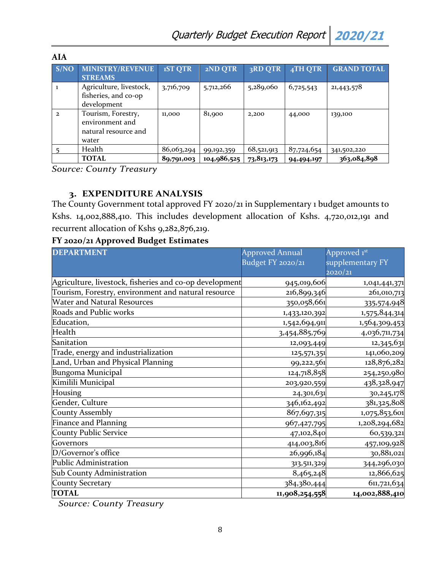| <b>AIA</b>   |                                                                        |                |             |              |            |                    |
|--------------|------------------------------------------------------------------------|----------------|-------------|--------------|------------|--------------------|
| S/NO         | <b>MINISTRY/REVENUE</b><br><b>STREAMS</b>                              | <b>1ST QTR</b> | 2ND QTR     | 3RD QTR      | 4TH QTR    | <b>GRAND TOTAL</b> |
|              | Agriculture, livestock,<br>fisheries, and co-op<br>development         | 3,716,709      | 5,712,266   | 5,289,060    | 6,725,543  | 21,443,578         |
| $\mathbf{2}$ | Tourism, Forestry,<br>environment and<br>natural resource and<br>water | 11,000         | 81,900      | 2,200        | 44,000     | 139,100            |
|              | Health                                                                 | 86,063,294     | 99,192,359  | 68,521,913   | 87,724,654 | 341,502,220        |
|              | <b>TOTAL</b>                                                           | 89,791,003     | 104,986,525 | 73, 813, 173 | 94,494,197 | 363,084,898        |

*Source: County Treasury*

## **3. EXPENDITURE ANALYSIS**

<span id="page-7-0"></span>The County Government total approved FY 2020/21 in Supplementary 1 budget amounts to Kshs. 14,002,888,410. This includes development allocation of Kshs. 4,720,012,191 and recurrent allocation of Kshs 9,282,876,219.

#### **FY 2020/21 Approved Budget Estimates**

| <b>DEPARTMENT</b>                                       | <b>Approved Annual</b> | Approved 1st     |
|---------------------------------------------------------|------------------------|------------------|
|                                                         | Budget FY 2020/21      | supplementary FY |
|                                                         |                        | 2020/21          |
| Agriculture, livestock, fisheries and co-op development | 945,019,606            | 1,041,441,371    |
| Tourism, Forestry, environment and natural resource     | 216,899,346            | 261,010,713      |
| <b>Water and Natural Resources</b>                      | 350,058,661            | 335,574,948      |
| Roads and Public works                                  | 1,433,120,392          | 1,575,844,314    |
| Education,                                              | 1,542,694,911          | 1,564,309,453    |
| Health                                                  | 3,454,885,769          | 4,036,711,734    |
| Sanitation                                              | 12,093,449             | 12,345,631       |
| Trade, energy and industrialization                     | 125,571,351            | 141,060,209      |
| Land, Urban and Physical Planning                       | 99,222,561             | 128,876,282      |
| Bungoma Municipal                                       | 124,718,858            | 254,250,980      |
| Kimilili Municipal                                      | 203,920,559            | 438,328,947      |
| Housing                                                 | 24,301,631             | 30,245,178       |
| Gender, Culture                                         | 346,162,492            | 381,325,808      |
| <b>County Assembly</b>                                  | 867,697,315            | 1,075,853,601    |
| <b>Finance and Planning</b>                             | 967,427,795            | 1,208,294,682    |
| <b>County Public Service</b>                            | 47,102,840             | 60,539,321       |
| Governors                                               | 414,003,816            | 457,109,928      |
| D/Governor's office                                     | 26,996,184             | 30,881,021       |
| Public Administration                                   | 313,511,329            | 344,296,030      |
| Sub County Administration                               | 8,465,248              | 12,866,625       |
| County Secretary                                        | 384,380,444            | 611,721,634      |
| <b>TOTAL</b>                                            | 11,908,254,558         | 14,002,888,410   |

*Source: County Treasury*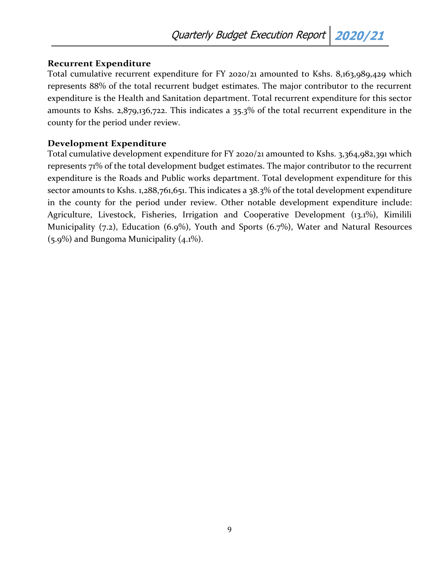## <span id="page-8-0"></span>**Recurrent Expenditure**

Total cumulative recurrent expenditure for FY 2020/21 amounted to Kshs. 8,163,989,429 which represents 88% of the total recurrent budget estimates. The major contributor to the recurrent expenditure is the Health and Sanitation department. Total recurrent expenditure for this sector amounts to Kshs. 2,879,136,722. This indicates a 35.3% of the total recurrent expenditure in the county for the period under review.

## <span id="page-8-1"></span>**Development Expenditure**

Total cumulative development expenditure for FY 2020/21 amounted to Kshs. 3,364,982,391 which represents 71% of the total development budget estimates. The major contributor to the recurrent expenditure is the Roads and Public works department. Total development expenditure for this sector amounts to Kshs. 1,288,761,651. This indicates a 38.3% of the total development expenditure in the county for the period under review. Other notable development expenditure include: Agriculture, Livestock, Fisheries, Irrigation and Cooperative Development (13.1%), Kimilili Municipality (7.2), Education (6.9%), Youth and Sports (6.7%), Water and Natural Resources (5.9%) and Bungoma Municipality (4.1%).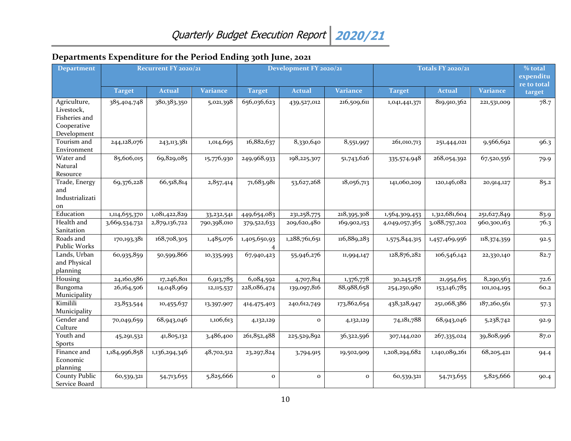| <b>Department</b>                                                         | Recurrent FY 2020/21 |               |                 |               | Development FY 2020/21 |                 |               | Totals FY 2020/21 |                 |                          |
|---------------------------------------------------------------------------|----------------------|---------------|-----------------|---------------|------------------------|-----------------|---------------|-------------------|-----------------|--------------------------|
|                                                                           |                      |               |                 |               |                        |                 |               |                   |                 | expenditu<br>re to total |
|                                                                           | <b>Target</b>        | <b>Actual</b> | <b>Variance</b> | <b>Target</b> | <b>Actual</b>          | <b>Variance</b> | <b>Target</b> | <b>Actual</b>     | <b>Variance</b> | target                   |
| Agriculture,<br>Livestock,<br>Fisheries and<br>Cooperative<br>Development | 385,404,748          | 380,383,350   | 5,021,398       | 656,036,623   | 439,527,012            | 216,509,611     | 1,041,441,371 | 819,910,362       | 221,531,009     | 78.7                     |
| Tourism and<br>Environment                                                | 244,128,076          | 243,113,381   | 1,014,695       | 16,882,637    | 8,330,640              | 8,551,997       | 261,010,713   | 251,444,021       | 9,566,692       | 96.3                     |
| Water and<br>Natural<br>Resource                                          | 85,606,015           | 69,829,085    | 15,776,930      | 249,968,933   | 198,225,307            | 51,743,626      | 335,574,948   | 268,054,392       | 67,520,556      | 79.9                     |
| Trade, Energy<br>and<br>Industrializati<br>on                             | 69,376,228           | 66,518,814    | 2,857,414       | 71,683,981    | 53,627,268             | 18,056,713      | 141,060,209   | 120,146,082       | 20,914,127      | 85.2                     |
| Education                                                                 | 1,114,655,370        | 1,081,422,829 | 33, 232, 541    | 449,654,083   | 231, 258, 775          | 218,395,308     | 1,564,309,453 | 1,312,681,604     | 251,627,849     | 83.9                     |
| Health and<br>Sanitation                                                  | 3,669,534,732        | 2,879,136,722 | 790,398,010     | 379,522,633   | 209,620,480            | 169,902,153     | 4,049,057,365 | 3,088,757,202     | 960,300,163     | 76.3                     |
| Roads and<br>Public Works                                                 | 170,193,381          | 168,708,305   | 1,485,076       | 1,405,650,93  | 1,288,761,651          | 116,889,283     | 1,575,844,315 | 1,457,469,956     | 118,374,359     | 92.5                     |
| Lands, Urban<br>and Physical<br>planning                                  | 60,935,859           | 50,599,866    | 10,335,993      | 67,940,423    | 55,946,276             | 11,994,147      | 128,876,282   | 106,546,142       | 22,330,140      | 82.7                     |
| Housing                                                                   | 24,160,586           | 17,246,801    | 6,913,785       | 6,084,592     | 4,707,814              | 1,376,778       | 30, 245, 178  | 21,954,615        | 8,290,563       | 72.6                     |
| Bungoma<br>Municipality                                                   | 26,164,506           | 14,048,969    | 12, 115, 537    | 228,086,474   | 139,097,816            | 88,988,658      | 254,250,980   | 153,146,785       | 101,104,195     | 60.2                     |
| Kimilili<br>Municipality                                                  | 23,853,544           | 10,455,637    | 13,397,907      | 414,475,403   | 240, 612, 749          | 173,862,654     | 438,328,947   | 251,068,386       | 187,260,561     | 57.3                     |
| Gender and<br>Culture                                                     | 70,049,659           | 68,943,046    | 1,106,613       | 4,132,129     | $\mathbf{o}$           | 4,132,129       | 74,181,788    | 68,943,046        | 5,238,742       | 92.9                     |
| Youth and<br><b>Sports</b>                                                | 45, 291, 532         | 41,805,132    | 3,486,400       | 261,852,488   | 225,529,892            | 36,322,596      | 307,144,020   | 267,335,024       | 39,808,996      | 87.0                     |
| Finance and<br>Economic<br>planning                                       | 1,184,996,858        | 1,136,294,346 | 48,702,512      | 23, 297, 824  | 3,794,915              | 19,502,909      | 1,208,294,682 | 1,140,089,261     | 68,205,421      | 94.4                     |
| <b>County Public</b><br>Service Board                                     | 60,539,321           | 54,713,655    | 5,825,666       | $\mathbf{o}$  | $\mathbf{o}$           | $\mathbf{o}$    | 60,539,321    | 54,713,655        | 5,825,666       | 90.4                     |

## **Departments Expenditure for the Period Ending 30th June, 2021**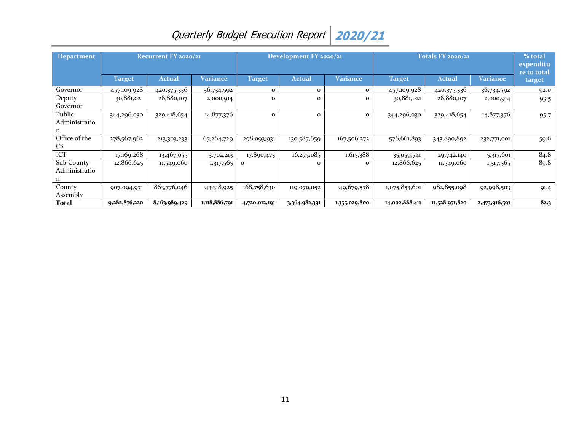| Department                       |               | <b>Recurrent FY 2020/21</b> |               | Development FY 2020/21<br><b>Totals FY 2020/21</b> |               |               |                | % total<br>expenditu<br>re to total |               |        |
|----------------------------------|---------------|-----------------------------|---------------|----------------------------------------------------|---------------|---------------|----------------|-------------------------------------|---------------|--------|
|                                  | <b>Target</b> | <b>Actual</b>               | Variance      | <b>Target</b>                                      | Actual        | Variance      | Target         | <b>Actual</b>                       | Variance      | target |
| Governor                         | 457,109,928   | 420,375,336                 | 36,734,592    | 0                                                  | $\mathbf{o}$  | $\Omega$      | 457,109,928    | 420,375,336                         | 36,734,592    | 92.0   |
| Deputy<br>Governor               | 30,881,021    | 28,880,107                  | 2,000,914     | 0                                                  | $\Omega$      | $\Omega$      | 30,881,021     | 28,880,107                          | 2,000,914     | 93.5   |
| Public<br>Administratio<br>n     | 344,296,030   | 329,418,654                 | 14,877,376    | $\mathbf{o}$                                       | $\Omega$      | $\mathbf{O}$  | 344,296,030    | 329,418,654                         | 14,877,376    | 95.7   |
| Office of the<br>CS.             | 278,567,962   | 213,303,233                 | 65,264,729    | 298,093,931                                        | 130,587,659   | 167,506,272   | 576,661,893    | 343,890,892                         | 232,771,001   | 59.6   |
| ICT                              | 17,169,268    | 13,467,055                  | 3,702,213     | 17,890,473                                         | 16,275,085    | 1,615,388     | 35,059,741     | 29,742,140                          | 5,317,601     | 84.8   |
| Sub County<br>Administratio<br>n | 12,866,625    | 11,549,060                  | 1,317,565     | $\mathbf{o}$                                       | $\Omega$      | $\mathbf{o}$  | 12,866,625     | 11,549,060                          | 1,317,565     | 89.8   |
| County<br>Assembly               | 907,094,971   | 863,776,046                 | 43,318,925    | 168,758,630                                        | 119,079,052   | 49,679,578    | 1,075,853,601  | 982,855,098                         | 92,998,503    | 91.4   |
| Total                            | 9,282,876,220 | 8,163,989,429               | 1,118,886,791 | 4,720,012,191                                      | 3,364,982,391 | 1,355,029,800 | 14,002,888,411 | 11,528,971,820                      | 2,473,916,591 | 82.3   |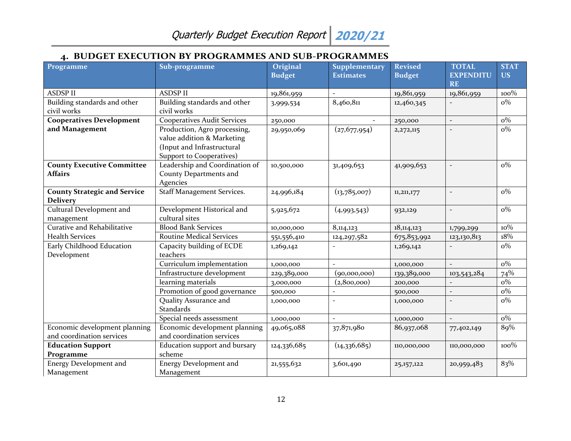## **4. BUDGET EXECUTION BY PROGRAMMES AND SUB-PROGRAMMES**

<span id="page-11-0"></span>

| Programme                                                  | Sub-programme                                                                                                        | Original<br><b>Budget</b> | <b>Supplementary</b><br><b>Estimates</b> | <b>Revised</b><br><b>Budget</b> | <b>TOTAL</b><br><b>EXPENDITU</b> | <b>STAT</b><br><b>US</b> |
|------------------------------------------------------------|----------------------------------------------------------------------------------------------------------------------|---------------------------|------------------------------------------|---------------------------------|----------------------------------|--------------------------|
|                                                            |                                                                                                                      |                           |                                          |                                 | <b>RE</b>                        |                          |
| <b>ASDSP II</b>                                            | <b>ASDSP II</b>                                                                                                      | 19,861,959                |                                          | 19,861,959                      | 19,861,959                       | 100%                     |
| Building standards and other<br>civil works                | Building standards and other<br>civil works                                                                          | 3,999,534                 | 8,460,811                                | 12,460,345                      |                                  | $o\%$                    |
| <b>Cooperatives Development</b>                            | <b>Cooperatives Audit Services</b>                                                                                   | 250,000                   |                                          | 250,000                         |                                  | $o\%$                    |
| and Management                                             | Production, Agro processing,<br>value addition & Marketing<br>(Input and Infrastructural<br>Support to Cooperatives) | 29,950,069                | (27, 677, 954)                           | 2,272,115                       |                                  | $o\%$                    |
| <b>County Executive Committee</b><br><b>Affairs</b>        | Leadership and Coordination of<br>County Departments and<br>Agencies                                                 | 10,500,000                | 31,409,653                               | 41,909,653                      |                                  | $o\%$                    |
| <b>County Strategic and Service</b><br><b>Delivery</b>     | <b>Staff Management Services.</b>                                                                                    | 24,996,184                | (13,785,007)                             | 11,211,177                      |                                  | $o\%$                    |
| Cultural Development and<br>management                     | Development Historical and<br>cultural sites                                                                         | 5,925,672                 | (4,993,543)                              | 932,129                         | $\overline{\phantom{a}}$         | $o\%$                    |
| Curative and Rehabilitative                                | <b>Blood Bank Services</b>                                                                                           | 10,000,000                | 8,114,123                                | 18, 114, 123                    | 1,799,299                        | $10\%$                   |
| <b>Health Services</b>                                     | <b>Routine Medical Services</b>                                                                                      | 551,556,410               | 124,297,582                              | 675,853,992                     | 123,130,813                      | 18%                      |
| Early Childhood Education<br>Development                   | Capacity building of ECDE<br>teachers                                                                                | 1,269,142                 |                                          | 1,269,142                       |                                  | $o\%$                    |
|                                                            | Curriculum implementation                                                                                            | 1,000,000                 |                                          | 1,000,000                       |                                  | $o\%$                    |
|                                                            | Infrastructure development                                                                                           | 229,389,000               | (90,000,000)                             | 139,389,000                     | 103,543,284                      | 74%                      |
|                                                            | learning materials                                                                                                   | 3,000,000                 | (2,800,000)                              | 200,000                         |                                  | $o\%$                    |
|                                                            | Promotion of good governance                                                                                         | 500,000                   |                                          | 500,000                         |                                  | $o\%$                    |
|                                                            | Quality Assurance and<br>Standards                                                                                   | 1,000,000                 |                                          | 1,000,000                       |                                  | $o\%$                    |
|                                                            | Special needs assessment                                                                                             | 1,000,000                 |                                          | 1,000,000                       |                                  | $o\%$                    |
| Economic development planning<br>and coordination services | Economic development planning<br>and coordination services                                                           | 49,065,088                | 37,871,980                               | 86,937,068                      | 77,402,149                       | 89%                      |
| <b>Education Support</b>                                   | Education support and bursary                                                                                        | 124,336,685               | (14,336,685)                             | 110,000,000                     | 110,000,000                      | 100%                     |
| Programme                                                  | scheme                                                                                                               |                           |                                          |                                 |                                  |                          |
| Energy Development and<br>Management                       | <b>Energy Development and</b><br>Management                                                                          | 21,555,632                | 3,601,490                                | 25, 157, 122                    | 20,959,483                       | 83%                      |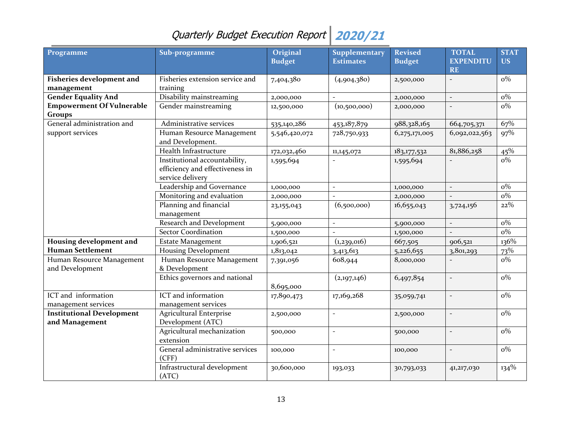| Programme                                          | Sub-programme                                                                        | Original<br><b>Budget</b> | Supplementary<br><b>Estimates</b> | <b>Revised</b><br><b>Budget</b> | <b>TOTAL</b><br><b>EXPENDITU</b><br>RE | <b>STAT</b><br><b>US</b> |
|----------------------------------------------------|--------------------------------------------------------------------------------------|---------------------------|-----------------------------------|---------------------------------|----------------------------------------|--------------------------|
| <b>Fisheries development and</b>                   | Fisheries extension service and                                                      | 7,404,380                 | (4,904,380)                       | 2,500,000                       |                                        | $\overline{o\%}$         |
| management                                         | training                                                                             |                           |                                   |                                 |                                        |                          |
| <b>Gender Equality And</b>                         | Disability mainstreaming                                                             | 2,000,000                 |                                   | 2,000,000                       | $\equiv$                               | $o\%$                    |
| <b>Empowerment Of Vulnerable</b><br><b>Groups</b>  | Gender mainstreaming                                                                 | 12,500,000                | (10,500,000)                      | 2,000,000                       |                                        | $o\%$                    |
| General administration and                         | Administrative services                                                              | 535,140,286               | 453,187,879                       | 988,328,165                     | 664,705,371                            | 67%                      |
| support services                                   | Human Resource Management<br>and Development.                                        | 5,546,420,072             | 728,750,933                       | 6,275,171,005                   | 6,092,022,563                          | 97%                      |
|                                                    | Health Infrastructure                                                                | 172,032,460               | 11,145,072                        | 183, 177, 532                   | 81,886,258                             | 45%                      |
|                                                    | Institutional accountability,<br>efficiency and effectiveness in<br>service delivery | 1,595,694                 |                                   | 1,595,694                       |                                        | $o\%$                    |
|                                                    | Leadership and Governance                                                            | 1,000,000                 | $\overline{\phantom{a}}$          | 1,000,000                       | $\overline{\phantom{a}}$               | $o\%$                    |
|                                                    | Monitoring and evaluation                                                            | 2,000,000                 |                                   | 2,000,000                       |                                        | $o\%$                    |
|                                                    | Planning and financial<br>management                                                 | 23,155,043                | (6,500,000)                       | 16,655,043                      | 3,724,156                              | $22\%$                   |
|                                                    | Research and Development                                                             | 5,900,000                 |                                   | 5,900,000                       |                                        | $o\%$                    |
|                                                    | <b>Sector Coordination</b>                                                           | 1,500,000                 |                                   | 1,500,000                       |                                        | $o\%$                    |
| Housing development and                            | <b>Estate Management</b>                                                             | 1,906,521                 | (1,239,016)                       | 667,505                         | 906,521                                | 136%                     |
| <b>Human Settlement</b>                            | <b>Housing Development</b>                                                           | 1,813,042                 | 3,413,613                         | 5,226,655                       | 3,801,293                              | 73%                      |
| Human Resource Management                          | Human Resource Management                                                            | 7,391,056                 | 608,944                           | 8,000,000                       |                                        | $o\%$                    |
| and Development                                    | & Development                                                                        |                           |                                   |                                 |                                        |                          |
|                                                    | Ethics governors and national                                                        | 8,695,000                 | (2,197,146)                       | 6,497,854                       |                                        | $\overline{o\%}$         |
| ICT and information                                | ICT and information                                                                  | 17,890,473                | 17,169,268                        | 35,059,741                      |                                        | $o\%$                    |
| management services                                | management services                                                                  |                           |                                   |                                 |                                        |                          |
| <b>Institutional Development</b><br>and Management | <b>Agricultural Enterprise</b><br>Development (ATC)                                  | 2,500,000                 |                                   | 2,500,000                       |                                        | $o\%$                    |
|                                                    | Agricultural mechanization<br>extension                                              | 500,000                   |                                   | 500,000                         |                                        | $o\%$                    |
|                                                    | General administrative services<br>(CFF)                                             | 100,000                   |                                   | 100,000                         |                                        | $o\%$                    |
|                                                    | Infrastructural development<br>(ATC)                                                 | 30,600,000                | 193,033                           | 30,793,033                      | 41,217,030                             | $134\%$                  |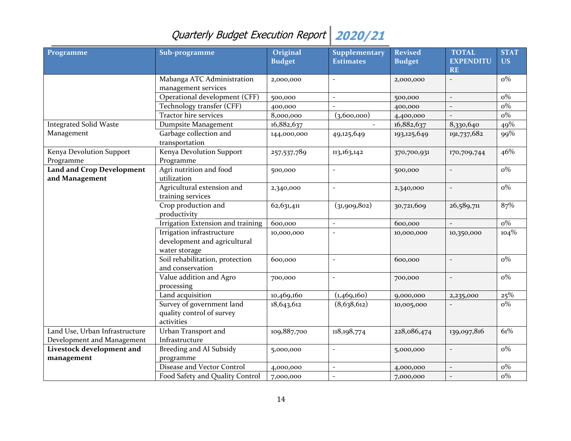| Programme                                          | Sub-programme                                                              | Original<br><b>Budget</b> | Supplementary<br><b>Estimates</b> | <b>Revised</b><br><b>Budget</b> | <b>TOTAL</b><br><b>EXPENDITU</b><br><b>RE</b> | <b>STAT</b><br><b>US</b> |
|----------------------------------------------------|----------------------------------------------------------------------------|---------------------------|-----------------------------------|---------------------------------|-----------------------------------------------|--------------------------|
|                                                    | Mabanga ATC Administration<br>management services                          | 2,000,000                 | $\overline{a}$                    | 2,000,000                       |                                               | $o\%$                    |
|                                                    | Operational development (CFF)                                              | 500,000                   | $\overline{\phantom{a}}$          | 500,000                         | $\overline{\phantom{a}}$                      | $o\%$                    |
|                                                    | Technology transfer (CFF)                                                  | 400,000                   |                                   | 400,000                         |                                               | $o\%$                    |
|                                                    | Tractor hire services                                                      | 8,000,000                 | (3,600,000)                       | 4,400,000                       |                                               | $o\%$                    |
| <b>Integrated Solid Waste</b>                      | Dumpsite Management                                                        | 16,882,637                |                                   | 16,882,637                      | 8,330,640                                     | 49%                      |
| Management                                         | Garbage collection and<br>transportation                                   | 144,000,000               | 49,125,649                        | 193,125,649                     | 191,737,682                                   | 99%                      |
| Kenya Devolution Support<br>Programme              | Kenya Devolution Support<br>Programme                                      | 257,537,789               | 113,163,142                       | 370,700,931                     | 170,709,744                                   | 46%                      |
| <b>Land and Crop Development</b><br>and Management | Agri nutrition and food<br>utilization                                     | 500,000                   | $\overline{a}$                    | 500,000                         |                                               | $o\%$                    |
|                                                    | Agricultural extension and<br>training services                            | 2,340,000                 | $\overline{\phantom{0}}$          | 2,340,000                       |                                               | $o\%$                    |
|                                                    | Crop production and<br>productivity                                        | 62,631,411                | (31,909,802)                      | 30,721,609                      | 26,589,711                                    | 87%                      |
|                                                    | Irrigation Extension and training                                          | 600,000                   | $\overline{a}$                    | 600,000                         |                                               | $o\%$                    |
|                                                    | Irrigation infrastructure<br>development and agricultural<br>water storage | 10,000,000                | $\overline{a}$                    | 10,000,000                      | 10,350,000                                    | $104\%$                  |
|                                                    | Soil rehabilitation, protection<br>and conservation                        | 600,000                   | $\overline{\phantom{a}}$          | 600,000                         | $\overline{\phantom{a}}$                      | $\overline{o\%}$         |
|                                                    | Value addition and Agro<br>processing                                      | 700,000                   | $\overline{\phantom{a}}$          | 700,000                         | $\overline{\phantom{a}}$                      | $o\%$                    |
|                                                    | Land acquisition                                                           | 10,469,160                | (1,469,160)                       | 9,000,000                       | 2,235,000                                     | 25%                      |
|                                                    | Survey of government land<br>quality control of survey<br>activities       | 18,643,612                | (8,638,612)                       | 10,005,000                      |                                               | $o\%$                    |
| Land Use, Urban Infrastructure                     | Urban Transport and                                                        | 109,887,700               | 118,198,774                       | 228,086,474                     | 139,097,816                                   | 61%                      |
| Development and Management                         | Infrastructure                                                             |                           |                                   |                                 |                                               |                          |
| Livestock development and<br>management            | Breeding and AI Subsidy<br>programme                                       | 5,000,000                 | $\overline{a}$                    | 5,000,000                       |                                               | $o\%$                    |
|                                                    | Disease and Vector Control                                                 | 4,000,000                 | $\overline{a}$                    | 4,000,000                       | $\overline{\phantom{a}}$                      | $o\%$                    |
|                                                    | Food Safety and Quality Control                                            | 7,000,000                 | $\overline{a}$                    | 7,000,000                       |                                               | $o\%$                    |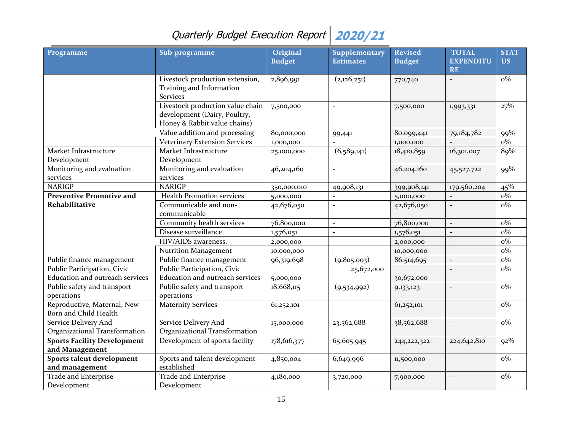| Programme                                             | Sub-programme                                                                                    | Original<br><b>Budget</b> | <b>Supplementary</b><br><b>Estimates</b> | <b>Revised</b><br><b>Budget</b> | <b>TOTAL</b><br><b>EXPENDITU</b> | <b>STAT</b><br><b>US</b> |
|-------------------------------------------------------|--------------------------------------------------------------------------------------------------|---------------------------|------------------------------------------|---------------------------------|----------------------------------|--------------------------|
|                                                       |                                                                                                  |                           |                                          |                                 | <b>RE</b>                        |                          |
|                                                       | Livestock production extension,<br>Training and Information<br><b>Services</b>                   | 2,896,991                 | (2,126,251)                              | 770,740                         |                                  | $o\%$                    |
|                                                       | Livestock production value chain<br>development (Dairy, Poultry,<br>Honey & Rabbit value chains) | 7,500,000                 |                                          | 7,500,000                       | 1,993,331                        | 27%                      |
|                                                       | Value addition and processing                                                                    | 80,000,000                | 99,441                                   | 80,099,441                      | 79,184,782                       | 99%                      |
|                                                       | <b>Veterinary Extension Services</b>                                                             | 1,000,000                 |                                          | 1,000,000                       |                                  | $o\%$                    |
| Market Infrastructure<br>Development                  | Market Infrastructure<br>Development                                                             | 25,000,000                | (6,589,141)                              | 18,410,859                      | 16,301,007                       | 89%                      |
| Monitoring and evaluation<br>services                 | Monitoring and evaluation<br>services                                                            | 46,204,160                | $\bar{\phantom{a}}$                      | 46,204,160                      | 45,527,722                       | 99%                      |
| <b>NARIGP</b>                                         | <b>NARIGP</b>                                                                                    | 350,000,010               | 49,908,131                               | 399,908,141                     | 179,560,204                      | 45%                      |
| <b>Preventive Promotive and</b>                       | <b>Health Promotion services</b>                                                                 | 5,000,000                 |                                          | 5,000,000                       |                                  | $o\%$                    |
| <b>Rehabilitative</b>                                 | Communicable and non-<br>communicable                                                            | 42,676,050                | $\overline{\phantom{a}}$                 | 42,676,050                      | $\equiv$                         | $o\%$                    |
|                                                       | Community health services                                                                        | 76,800,000                | $\overline{\phantom{a}}$                 | 76,800,000                      | $\equiv$                         | $o\%$                    |
|                                                       | Disease surveillance                                                                             | 1,576,051                 | $\overline{a}$                           | 1,576,051                       |                                  | $o\%$                    |
|                                                       | HIV/AIDS awareness.                                                                              | 2,000,000                 | $\overline{a}$                           | 2,000,000                       | $\overline{a}$                   | $o\%$                    |
|                                                       | <b>Nutrition Management</b>                                                                      | 10,000,000                |                                          | 10,000,000                      | $\overline{a}$                   | $o\%$                    |
| Public finance management                             | Public finance management                                                                        | 96,319,698                | (9,805,003)                              | 86,514,695                      | $\equiv$                         | $o\%$                    |
| Public Participation, Civic                           | Public Participation, Civic                                                                      |                           | 25,672,000                               |                                 |                                  | $o\%$                    |
| Education and outreach services                       | Education and outreach services                                                                  | 5,000,000                 |                                          | 30,672,000                      |                                  |                          |
| Public safety and transport<br>operations             | Public safety and transport<br>operations                                                        | 18,668,115                | (9,534,992)                              | 9,133,123                       | $\overline{\phantom{a}}$         | $o\%$                    |
| Reproductive, Maternal, New<br>Born and Child Health  | <b>Maternity Services</b>                                                                        | 61,252,101                | $\overline{\phantom{a}}$                 | 61,252,101                      |                                  | $o\%$                    |
| Service Delivery And<br>Organizational Transformation | Service Delivery And<br>Organizational Transformation                                            | 15,000,000                | 23,562,688                               | 38,562,688                      | $\overline{\phantom{a}}$         | $o\%$                    |
| <b>Sports Facility Development</b><br>and Management  | Development of sports facility                                                                   | 178,616,377               | 65,605,945                               | 244, 222, 322                   | 224,642,810                      | $92\%$                   |
| Sports talent development                             | Sports and talent development                                                                    | 4,850,004                 | 6,649,996                                | 11,500,000                      |                                  | $o\%$                    |
| and management                                        | established                                                                                      |                           |                                          |                                 |                                  |                          |
| Trade and Enterprise<br>Development                   | <b>Trade and Enterprise</b><br>Development                                                       | 4,180,000                 | 3,720,000                                | 7,900,000                       |                                  | $o\%$                    |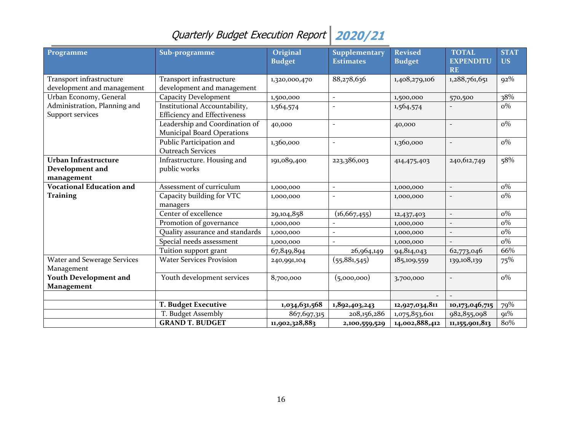| Programme                                              | Sub-programme                                                        | Original<br><b>Budget</b> | <b>Supplementary</b><br><b>Estimates</b> | <b>Revised</b><br><b>Budget</b> | <b>TOTAL</b><br><b>EXPENDITU</b><br><b>RE</b> | <b>STAT</b><br><b>US</b> |
|--------------------------------------------------------|----------------------------------------------------------------------|---------------------------|------------------------------------------|---------------------------------|-----------------------------------------------|--------------------------|
| Transport infrastructure<br>development and management | Transport infrastructure<br>development and management               | 1,320,000,470             | 88,278,636                               | 1,408,279,106                   | 1,288,761,651                                 | $92\%$                   |
| Urban Economy, General                                 | <b>Capacity Development</b>                                          | 1,500,000                 | $\overline{\phantom{a}}$                 | 1,500,000                       | 570,500                                       | 38%                      |
| Administration, Planning and<br>Support services       | Institutional Accountability,<br><b>Efficiency and Effectiveness</b> | 1,564,574                 |                                          | 1,564,574                       |                                               | $o\%$                    |
|                                                        | Leadership and Coordination of<br><b>Municipal Board Operations</b>  | 40,000                    | $\overline{\phantom{a}}$                 | 40,000                          |                                               | $o\%$                    |
|                                                        | Public Participation and<br><b>Outreach Services</b>                 | 1,360,000                 | $\overline{\phantom{a}}$                 | 1,360,000                       | $\overline{\phantom{a}}$                      | $o\%$                    |
| Urban Infrastructure<br>Development and<br>management  | Infrastructure. Housing and<br>public works                          | 191,089,400               | 223,386,003                              | 414,475,403                     | 240, 612, 749                                 | 58%                      |
| <b>Vocational Education and</b>                        | Assessment of curriculum                                             | 1,000,000                 | $\overline{\phantom{a}}$                 | 1,000,000                       |                                               | $o\%$                    |
| <b>Training</b>                                        | Capacity building for VTC<br>managers                                | 1,000,000                 |                                          | 1,000,000                       |                                               | $o\%$                    |
|                                                        | Center of excellence                                                 | 29,104,858                | (16, 667, 455)                           | 12,437,403                      | $\overline{\phantom{0}}$                      | $o\%$                    |
|                                                        | Promotion of governance                                              | 1,000,000                 |                                          | 1,000,000                       |                                               | $o\%$                    |
|                                                        | Quality assurance and standards                                      | 1,000,000                 | $\overline{a}$                           | 1,000,000                       |                                               | $o\%$                    |
|                                                        | Special needs assessment                                             | 1,000,000                 |                                          | 1,000,000                       |                                               | $o\%$                    |
|                                                        | Tuition support grant                                                | 67,849,894                | 26,964,149                               | 94,814,043                      | 62,773,046                                    | 66%                      |
| Water and Sewerage Services<br>Management              | <b>Water Services Provision</b>                                      | 240,991,104               | (55, 881, 545)                           | 185,109,559                     | 139,108,139                                   | 75%                      |
| <b>Youth Development and</b>                           | Youth development services                                           | 8,700,000                 | (5,000,000)                              | 3,700,000                       |                                               | $o\%$                    |
| Management                                             |                                                                      |                           |                                          |                                 |                                               |                          |
|                                                        |                                                                      |                           |                                          |                                 |                                               |                          |
|                                                        | <b>T. Budget Executive</b>                                           | 1,034,631,568             | 1,892,403,243                            | 12,927,034,811                  | 10,173,046,715                                | 79%                      |
|                                                        | T. Budget Assembly                                                   | 867,697,315               | 208,156,286                              | 1,075,853,601                   | 982,855,098                                   | 91%                      |
|                                                        | <b>GRAND T. BUDGET</b>                                               | 11,902,328,883            | 2,100,559,529                            | 14,002,888,412                  | 11,155,901,813                                | 80%                      |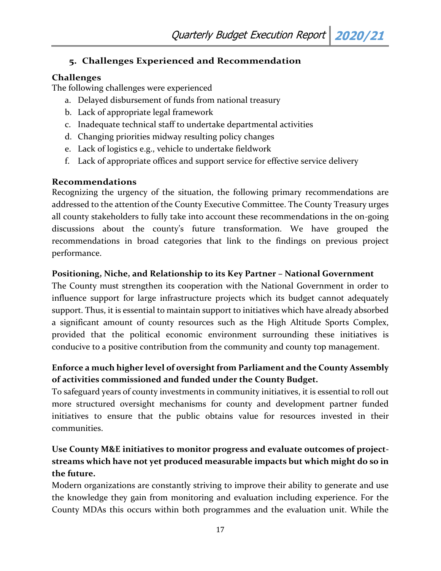## <span id="page-16-0"></span>**5. Challenges Experienced and Recommendation**

## <span id="page-16-1"></span>**Challenges**

The following challenges were experienced

- a. Delayed disbursement of funds from national treasury
- b. Lack of appropriate legal framework
- c. Inadequate technical staff to undertake departmental activities
- d. Changing priorities midway resulting policy changes
- e. Lack of logistics e.g., vehicle to undertake fieldwork
- f. Lack of appropriate offices and support service for effective service delivery

## <span id="page-16-2"></span>**Recommendations**

Recognizing the urgency of the situation, the following primary recommendations are addressed to the attention of the County Executive Committee. The County Treasury urges all county stakeholders to fully take into account these recommendations in the on-going discussions about the county's future transformation. We have grouped the recommendations in broad categories that link to the findings on previous project performance.

## **Positioning, Niche, and Relationship to its Key Partner – National Government**

The County must strengthen its cooperation with the National Government in order to influence support for large infrastructure projects which its budget cannot adequately support. Thus, it is essential to maintain support to initiatives which have already absorbed a significant amount of county resources such as the High Altitude Sports Complex, provided that the political economic environment surrounding these initiatives is conducive to a positive contribution from the community and county top management.

## **Enforce a much higher level of oversight from Parliament and the County Assembly of activities commissioned and funded under the County Budget.**

To safeguard years of county investments in community initiatives, it is essential to roll out more structured oversight mechanisms for county and development partner funded initiatives to ensure that the public obtains value for resources invested in their communities.

## **Use County M&E initiatives to monitor progress and evaluate outcomes of projectstreams which have not yet produced measurable impacts but which might do so in the future.**

Modern organizations are constantly striving to improve their ability to generate and use the knowledge they gain from monitoring and evaluation including experience. For the County MDAs this occurs within both programmes and the evaluation unit. While the